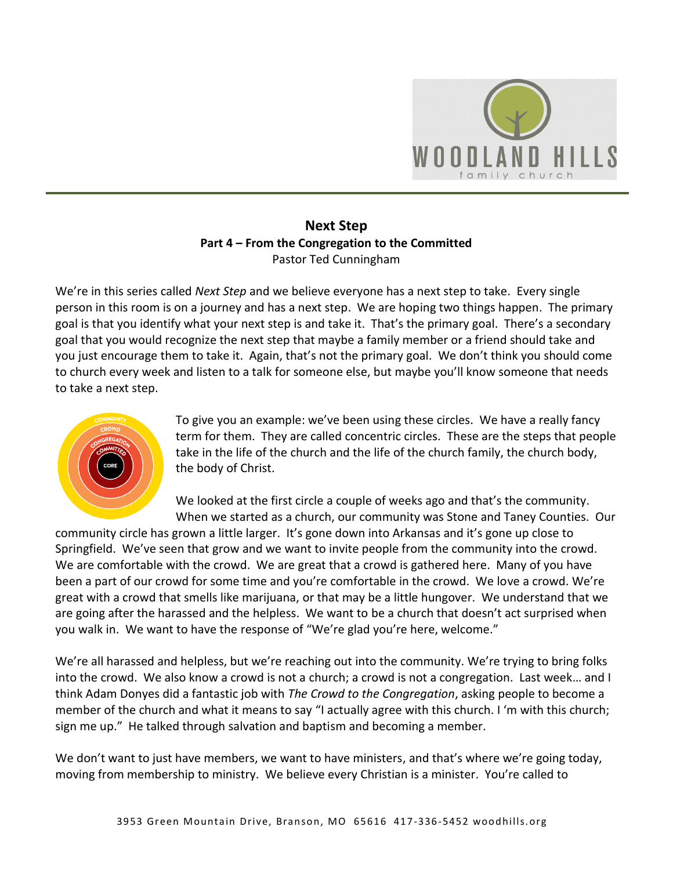

# **Next Step Part 4 – From the Congregation to the Committed**  Pastor Ted Cunningham

We're in this series called *Next Step* and we believe everyone has a next step to take. Every single person in this room is on a journey and has a next step. We are hoping two things happen. The primary goal is that you identify what your next step is and take it. That's the primary goal. There's a secondary goal that you would recognize the next step that maybe a family member or a friend should take and you just encourage them to take it. Again, that's not the primary goal. We don't think you should come to church every week and listen to a talk for someone else, but maybe you'll know someone that needs to take a next step.



To give you an example: we've been using these circles. We have a really fancy term for them. They are called concentric circles. These are the steps that people take in the life of the church and the life of the church family, the church body, the body of Christ.

We looked at the first circle a couple of weeks ago and that's the community. When we started as a church, our community was Stone and Taney Counties. Our

community circle has grown a little larger. It's gone down into Arkansas and it's gone up close to Springfield. We've seen that grow and we want to invite people from the community into the crowd. We are comfortable with the crowd. We are great that a crowd is gathered here. Many of you have been a part of our crowd for some time and you're comfortable in the crowd. We love a crowd. We're great with a crowd that smells like marijuana, or that may be a little hungover. We understand that we are going after the harassed and the helpless. We want to be a church that doesn't act surprised when you walk in. We want to have the response of "We're glad you're here, welcome."

We're all harassed and helpless, but we're reaching out into the community. We're trying to bring folks into the crowd. We also know a crowd is not a church; a crowd is not a congregation. Last week… and I think Adam Donyes did a fantastic job with *The Crowd to the Congregation*, asking people to become a member of the church and what it means to say "I actually agree with this church. I 'm with this church; sign me up." He talked through salvation and baptism and becoming a member.

We don't want to just have members, we want to have ministers, and that's where we're going today, moving from membership to ministry. We believe every Christian is a minister. You're called to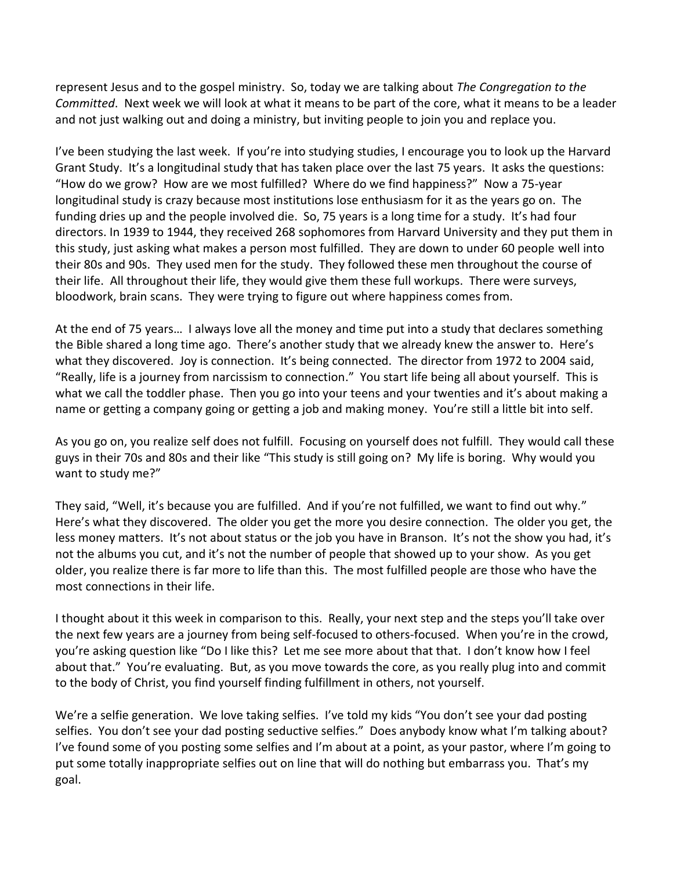represent Jesus and to the gospel ministry. So, today we are talking about *The Congregation to the Committed*. Next week we will look at what it means to be part of the core, what it means to be a leader and not just walking out and doing a ministry, but inviting people to join you and replace you.

I've been studying the last week. If you're into studying studies, I encourage you to look up the Harvard Grant Study. It's a longitudinal study that has taken place over the last 75 years. It asks the questions: "How do we grow? How are we most fulfilled? Where do we find happiness?" Now a 75-year longitudinal study is crazy because most institutions lose enthusiasm for it as the years go on. The funding dries up and the people involved die. So, 75 years is a long time for a study. It's had four directors. In 1939 to 1944, they received 268 sophomores from Harvard University and they put them in this study, just asking what makes a person most fulfilled. They are down to under 60 people well into their 80s and 90s. They used men for the study. They followed these men throughout the course of their life. All throughout their life, they would give them these full workups. There were surveys, bloodwork, brain scans. They were trying to figure out where happiness comes from.

At the end of 75 years… I always love all the money and time put into a study that declares something the Bible shared a long time ago. There's another study that we already knew the answer to. Here's what they discovered. Joy is connection. It's being connected. The director from 1972 to 2004 said, "Really, life is a journey from narcissism to connection." You start life being all about yourself. This is what we call the toddler phase. Then you go into your teens and your twenties and it's about making a name or getting a company going or getting a job and making money. You're still a little bit into self.

As you go on, you realize self does not fulfill. Focusing on yourself does not fulfill. They would call these guys in their 70s and 80s and their like "This study is still going on? My life is boring. Why would you want to study me?"

They said, "Well, it's because you are fulfilled. And if you're not fulfilled, we want to find out why." Here's what they discovered. The older you get the more you desire connection. The older you get, the less money matters. It's not about status or the job you have in Branson. It's not the show you had, it's not the albums you cut, and it's not the number of people that showed up to your show. As you get older, you realize there is far more to life than this. The most fulfilled people are those who have the most connections in their life.

I thought about it this week in comparison to this. Really, your next step and the steps you'll take over the next few years are a journey from being self-focused to others-focused. When you're in the crowd, you're asking question like "Do I like this? Let me see more about that that. I don't know how I feel about that." You're evaluating. But, as you move towards the core, as you really plug into and commit to the body of Christ, you find yourself finding fulfillment in others, not yourself.

We're a selfie generation. We love taking selfies. I've told my kids "You don't see your dad posting selfies. You don't see your dad posting seductive selfies." Does anybody know what I'm talking about? I've found some of you posting some selfies and I'm about at a point, as your pastor, where I'm going to put some totally inappropriate selfies out on line that will do nothing but embarrass you. That's my goal.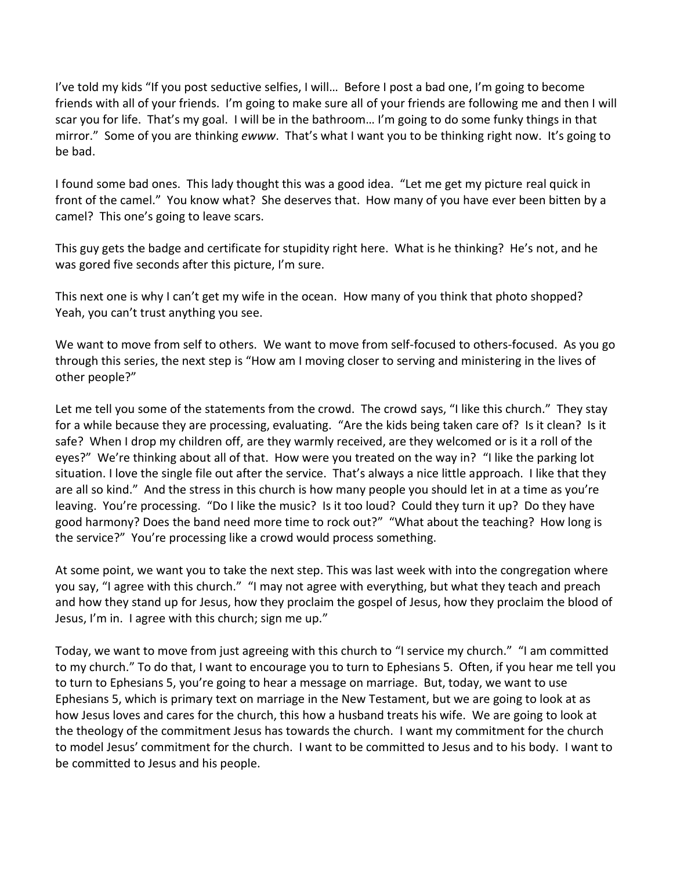I've told my kids "If you post seductive selfies, I will… Before I post a bad one, I'm going to become friends with all of your friends. I'm going to make sure all of your friends are following me and then I will scar you for life. That's my goal. I will be in the bathroom… I'm going to do some funky things in that mirror." Some of you are thinking *ewww*. That's what I want you to be thinking right now. It's going to be bad.

I found some bad ones. This lady thought this was a good idea. "Let me get my picture real quick in front of the camel." You know what? She deserves that. How many of you have ever been bitten by a camel? This one's going to leave scars.

This guy gets the badge and certificate for stupidity right here. What is he thinking? He's not, and he was gored five seconds after this picture, I'm sure.

This next one is why I can't get my wife in the ocean. How many of you think that photo shopped? Yeah, you can't trust anything you see.

We want to move from self to others. We want to move from self-focused to others-focused. As you go through this series, the next step is "How am I moving closer to serving and ministering in the lives of other people?"

Let me tell you some of the statements from the crowd. The crowd says, "I like this church." They stay for a while because they are processing, evaluating. "Are the kids being taken care of? Is it clean? Is it safe? When I drop my children off, are they warmly received, are they welcomed or is it a roll of the eyes?" We're thinking about all of that. How were you treated on the way in? "I like the parking lot situation. I love the single file out after the service. That's always a nice little approach. I like that they are all so kind." And the stress in this church is how many people you should let in at a time as you're leaving. You're processing. "Do I like the music? Is it too loud? Could they turn it up? Do they have good harmony? Does the band need more time to rock out?" "What about the teaching? How long is the service?" You're processing like a crowd would process something.

At some point, we want you to take the next step. This was last week with into the congregation where you say, "I agree with this church." "I may not agree with everything, but what they teach and preach and how they stand up for Jesus, how they proclaim the gospel of Jesus, how they proclaim the blood of Jesus, I'm in. I agree with this church; sign me up."

Today, we want to move from just agreeing with this church to "I service my church." "I am committed to my church." To do that, I want to encourage you to turn to Ephesians 5. Often, if you hear me tell you to turn to Ephesians 5, you're going to hear a message on marriage. But, today, we want to use Ephesians 5, which is primary text on marriage in the New Testament, but we are going to look at as how Jesus loves and cares for the church, this how a husband treats his wife. We are going to look at the theology of the commitment Jesus has towards the church. I want my commitment for the church to model Jesus' commitment for the church. I want to be committed to Jesus and to his body. I want to be committed to Jesus and his people.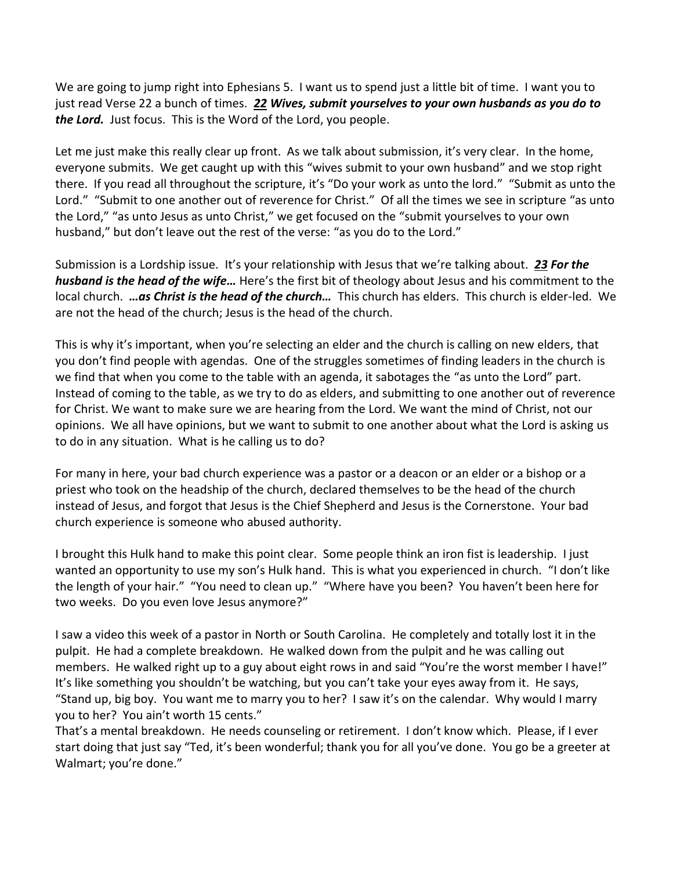We are going to jump right into Ephesians 5. I want us to spend just a little bit of time. I want you to just read Verse 22 a bunch of times. *[22](http://www.studylight.org/desk/?q=eph%205:22&t1=en_niv&sr=1) Wives, submit yourselves to your own husbands as you do to the Lord.* Just focus. This is the Word of the Lord, you people.

Let me just make this really clear up front. As we talk about submission, it's very clear. In the home, everyone submits. We get caught up with this "wives submit to your own husband" and we stop right there. If you read all throughout the scripture, it's "Do your work as unto the lord." "Submit as unto the Lord." "Submit to one another out of reverence for Christ." Of all the times we see in scripture "as unto the Lord," "as unto Jesus as unto Christ," we get focused on the "submit yourselves to your own husband," but don't leave out the rest of the verse: "as you do to the Lord."

Submission is a Lordship issue. It's your relationship with Jesus that we're talking about. *[23](http://www.studylight.org/desk/?q=eph%205:23&t1=en_niv&sr=1) For the husband is the head of the wife…* Here's the first bit of theology about Jesus and his commitment to the local church. *…as Christ is the head of the church…* This church has elders. This church is elder-led. We are not the head of the church; Jesus is the head of the church.

This is why it's important, when you're selecting an elder and the church is calling on new elders, that you don't find people with agendas. One of the struggles sometimes of finding leaders in the church is we find that when you come to the table with an agenda, it sabotages the "as unto the Lord" part. Instead of coming to the table, as we try to do as elders, and submitting to one another out of reverence for Christ. We want to make sure we are hearing from the Lord. We want the mind of Christ, not our opinions. We all have opinions, but we want to submit to one another about what the Lord is asking us to do in any situation. What is he calling us to do?

For many in here, your bad church experience was a pastor or a deacon or an elder or a bishop or a priest who took on the headship of the church, declared themselves to be the head of the church instead of Jesus, and forgot that Jesus is the Chief Shepherd and Jesus is the Cornerstone. Your bad church experience is someone who abused authority.

I brought this Hulk hand to make this point clear. Some people think an iron fist is leadership. I just wanted an opportunity to use my son's Hulk hand. This is what you experienced in church. "I don't like the length of your hair." "You need to clean up." "Where have you been? You haven't been here for two weeks. Do you even love Jesus anymore?"

I saw a video this week of a pastor in North or South Carolina. He completely and totally lost it in the pulpit. He had a complete breakdown. He walked down from the pulpit and he was calling out members. He walked right up to a guy about eight rows in and said "You're the worst member I have!" It's like something you shouldn't be watching, but you can't take your eyes away from it. He says, "Stand up, big boy. You want me to marry you to her? I saw it's on the calendar. Why would I marry you to her? You ain't worth 15 cents."

That's a mental breakdown. He needs counseling or retirement. I don't know which. Please, if I ever start doing that just say "Ted, it's been wonderful; thank you for all you've done. You go be a greeter at Walmart; you're done."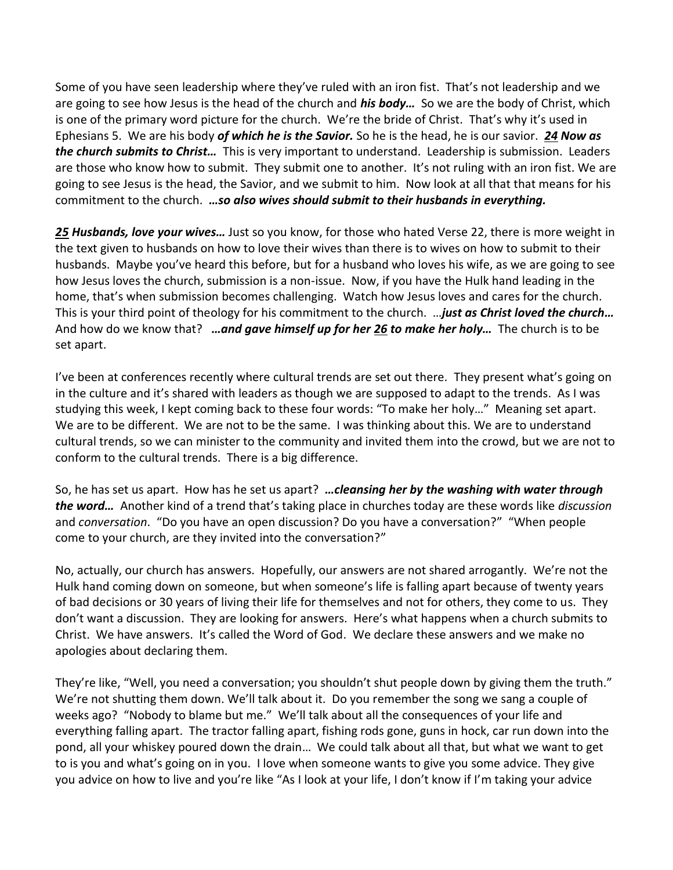Some of you have seen leadership where they've ruled with an iron fist. That's not leadership and we are going to see how Jesus is the head of the church and *his body…* So we are the body of Christ, which is one of the primary word picture for the church. We're the bride of Christ. That's why it's used in Ephesians 5. We are his body *of which he is the Savior.* So he is the head, he is our savior. *[24](http://www.studylight.org/desk/?q=eph%205:24&t1=en_niv&sr=1) Now as the church submits to Christ…* This is very important to understand. Leadership is submission. Leaders are those who know how to submit. They submit one to another. It's not ruling with an iron fist. We are going to see Jesus is the head, the Savior, and we submit to him. Now look at all that that means for his commitment to the church. *…so also wives should submit to their husbands in everything.*

*[25](http://www.studylight.org/desk/?q=eph%205:25&t1=en_niv&sr=1) Husbands, love your wives…* Just so you know, for those who hated Verse 22, there is more weight in the text given to husbands on how to love their wives than there is to wives on how to submit to their husbands. Maybe you've heard this before, but for a husband who loves his wife, as we are going to see how Jesus loves the church, submission is a non-issue. Now, if you have the Hulk hand leading in the home, that's when submission becomes challenging. Watch how Jesus loves and cares for the church. This is your third point of theology for his commitment to the church. …*just as Christ loved the church…*  And how do we know that? *…and gave himself up for her [26](http://www.studylight.org/desk/?q=eph%205:26&t1=en_niv&sr=1) to make her holy…* The church is to be set apart.

I've been at conferences recently where cultural trends are set out there. They present what's going on in the culture and it's shared with leaders as though we are supposed to adapt to the trends. As I was studying this week, I kept coming back to these four words: "To make her holy…" Meaning set apart. We are to be different. We are not to be the same. I was thinking about this. We are to understand cultural trends, so we can minister to the community and invited them into the crowd, but we are not to conform to the cultural trends. There is a big difference.

So, he has set us apart. How has he set us apart? *…cleansing her by the washing with water through the word…* Another kind of a trend that's taking place in churches today are these words like *discussion* and *conversation*. "Do you have an open discussion? Do you have a conversation?" "When people come to your church, are they invited into the conversation?"

No, actually, our church has answers. Hopefully, our answers are not shared arrogantly. We're not the Hulk hand coming down on someone, but when someone's life is falling apart because of twenty years of bad decisions or 30 years of living their life for themselves and not for others, they come to us. They don't want a discussion. They are looking for answers. Here's what happens when a church submits to Christ. We have answers. It's called the Word of God. We declare these answers and we make no apologies about declaring them.

They're like, "Well, you need a conversation; you shouldn't shut people down by giving them the truth." We're not shutting them down. We'll talk about it. Do you remember the song we sang a couple of weeks ago? "Nobody to blame but me." We'll talk about all the consequences of your life and everything falling apart. The tractor falling apart, fishing rods gone, guns in hock, car run down into the pond, all your whiskey poured down the drain… We could talk about all that, but what we want to get to is you and what's going on in you. I love when someone wants to give you some advice. They give you advice on how to live and you're like "As I look at your life, I don't know if I'm taking your advice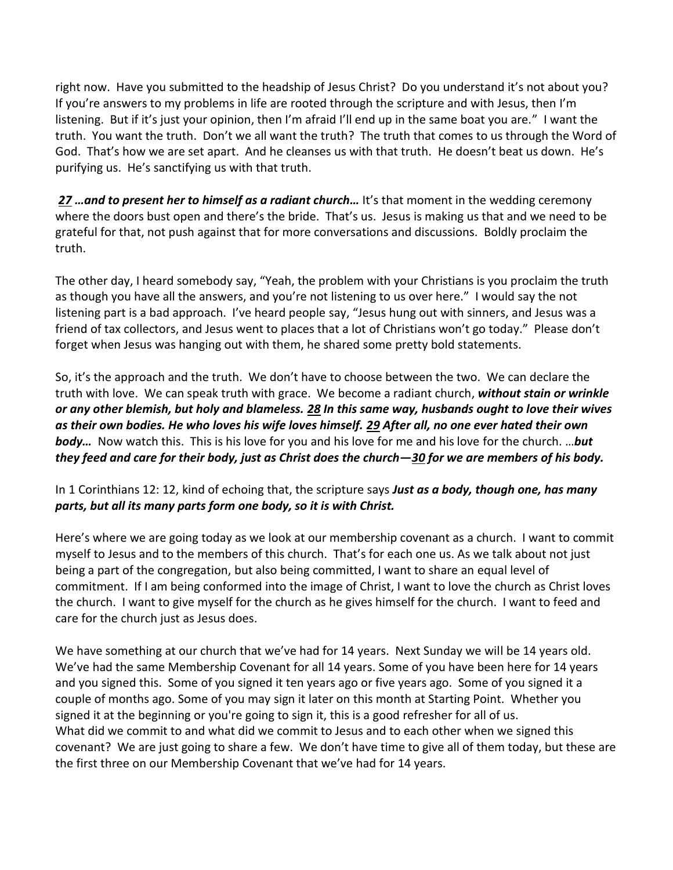right now. Have you submitted to the headship of Jesus Christ? Do you understand it's not about you? If you're answers to my problems in life are rooted through the scripture and with Jesus, then I'm listening. But if it's just your opinion, then I'm afraid I'll end up in the same boat you are." I want the truth. You want the truth. Don't we all want the truth? The truth that comes to us through the Word of God. That's how we are set apart. And he cleanses us with that truth. He doesn't beat us down. He's purifying us. He's sanctifying us with that truth.

*[27](http://www.studylight.org/desk/?q=eph%205:27&t1=en_niv&sr=1) …and to present her to himself as a radiant church…* It's that moment in the wedding ceremony where the doors bust open and there's the bride. That's us. Jesus is making us that and we need to be grateful for that, not push against that for more conversations and discussions. Boldly proclaim the truth.

The other day, I heard somebody say, "Yeah, the problem with your Christians is you proclaim the truth as though you have all the answers, and you're not listening to us over here." I would say the not listening part is a bad approach. I've heard people say, "Jesus hung out with sinners, and Jesus was a friend of tax collectors, and Jesus went to places that a lot of Christians won't go today." Please don't forget when Jesus was hanging out with them, he shared some pretty bold statements.

So, it's the approach and the truth. We don't have to choose between the two. We can declare the truth with love. We can speak truth with grace. We become a radiant church, *without stain or wrinkle or any other blemish, but holy and blameless. [28](http://www.studylight.org/desk/?q=eph%205:28&t1=en_niv&sr=1) In this same way, husbands ought to love their wives as their own bodies. He who loves his wife loves himself. [29](http://www.studylight.org/desk/?q=eph%205:29&t1=en_niv&sr=1) After all, no one ever hated their own body…* Now watch this. This is his love for you and his love for me and his love for the church. …*but they feed and care for their body, just as Christ does the church—[30](http://www.studylight.org/desk/?q=eph%205:30&t1=en_niv&sr=1) for we are members of his body.*

## In 1 Corinthians 12: 12, kind of echoing that, the scripture says *Just as a body, though one, has many parts, but all its many parts form one body, so it is with Christ.*

Here's where we are going today as we look at our membership covenant as a church. I want to commit myself to Jesus and to the members of this church. That's for each one us. As we talk about not just being a part of the congregation, but also being committed, I want to share an equal level of commitment. If I am being conformed into the image of Christ, I want to love the church as Christ loves the church. I want to give myself for the church as he gives himself for the church. I want to feed and care for the church just as Jesus does.

We have something at our church that we've had for 14 years. Next Sunday we will be 14 years old. We've had the same Membership Covenant for all 14 years. Some of you have been here for 14 years and you signed this. Some of you signed it ten years ago or five years ago. Some of you signed it a couple of months ago. Some of you may sign it later on this month at Starting Point. Whether you signed it at the beginning or you're going to sign it, this is a good refresher for all of us. What did we commit to and what did we commit to Jesus and to each other when we signed this covenant? We are just going to share a few. We don't have time to give all of them today, but these are the first three on our Membership Covenant that we've had for 14 years.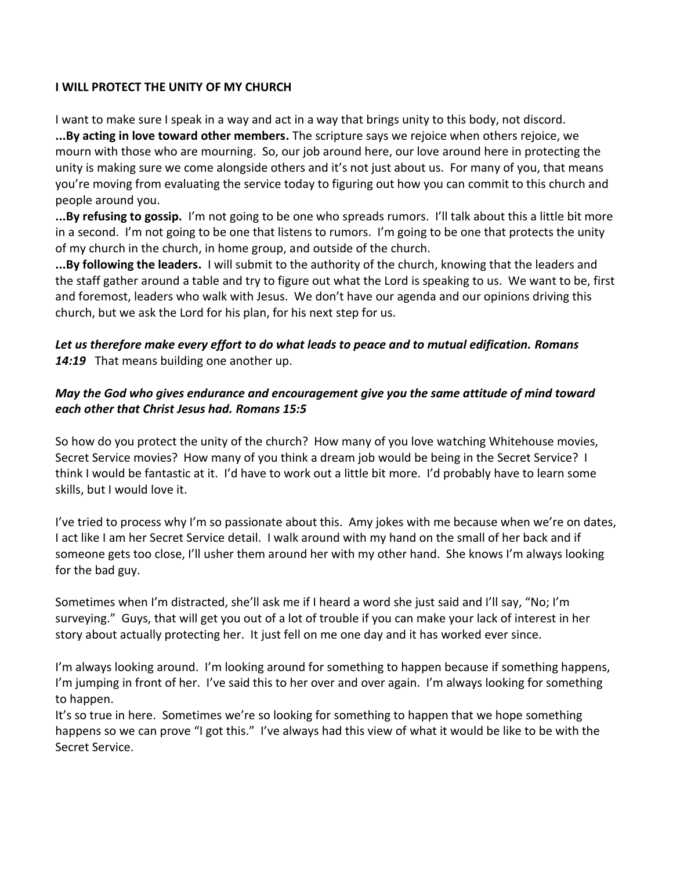### **I WILL PROTECT THE UNITY OF MY CHURCH**

I want to make sure I speak in a way and act in a way that brings unity to this body, not discord. **...By acting in love toward other members.** The scripture says we rejoice when others rejoice, we mourn with those who are mourning. So, our job around here, our love around here in protecting the unity is making sure we come alongside others and it's not just about us. For many of you, that means you're moving from evaluating the service today to figuring out how you can commit to this church and people around you.

**...By refusing to gossip.** I'm not going to be one who spreads rumors. I'll talk about this a little bit more in a second. I'm not going to be one that listens to rumors. I'm going to be one that protects the unity of my church in the church, in home group, and outside of the church.

**...By following the leaders.** I will submit to the authority of the church, knowing that the leaders and the staff gather around a table and try to figure out what the Lord is speaking to us. We want to be, first and foremost, leaders who walk with Jesus. We don't have our agenda and our opinions driving this church, but we ask the Lord for his plan, for his next step for us.

## *Let us therefore make every effort to do what leads to peace and to mutual edification. Romans*  14:19 That means building one another up.

# *May the God who gives endurance and encouragement give you the same attitude of mind toward each other that Christ Jesus had. Romans 15:5*

So how do you protect the unity of the church? How many of you love watching Whitehouse movies, Secret Service movies? How many of you think a dream job would be being in the Secret Service? I think I would be fantastic at it. I'd have to work out a little bit more. I'd probably have to learn some skills, but I would love it.

I've tried to process why I'm so passionate about this. Amy jokes with me because when we're on dates, I act like I am her Secret Service detail. I walk around with my hand on the small of her back and if someone gets too close, I'll usher them around her with my other hand. She knows I'm always looking for the bad guy.

Sometimes when I'm distracted, she'll ask me if I heard a word she just said and I'll say, "No; I'm surveying." Guys, that will get you out of a lot of trouble if you can make your lack of interest in her story about actually protecting her. It just fell on me one day and it has worked ever since.

I'm always looking around. I'm looking around for something to happen because if something happens, I'm jumping in front of her. I've said this to her over and over again. I'm always looking for something to happen.

It's so true in here. Sometimes we're so looking for something to happen that we hope something happens so we can prove "I got this." I've always had this view of what it would be like to be with the Secret Service.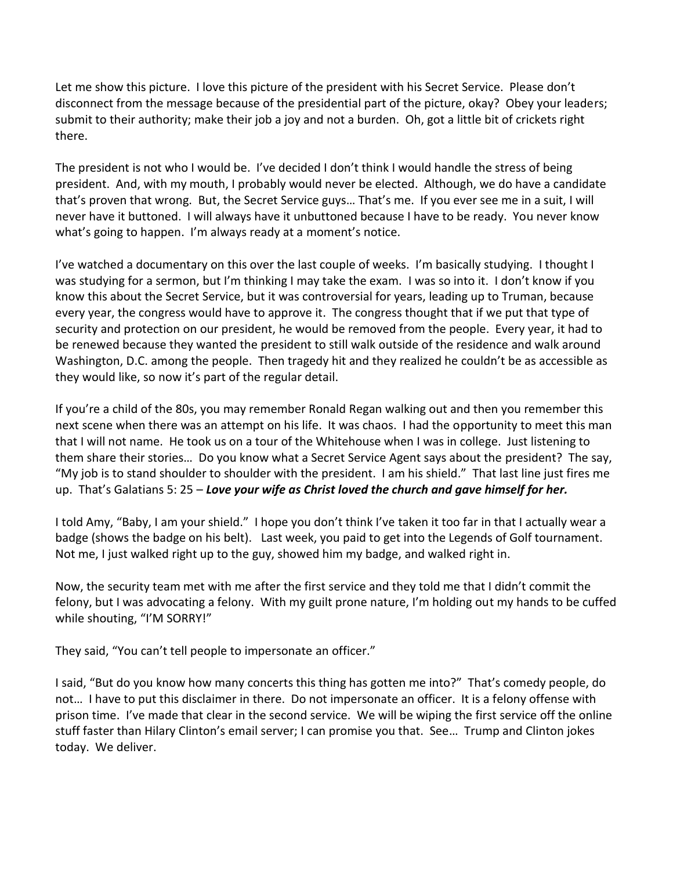Let me show this picture. I love this picture of the president with his Secret Service. Please don't disconnect from the message because of the presidential part of the picture, okay? Obey your leaders; submit to their authority; make their job a joy and not a burden. Oh, got a little bit of crickets right there.

The president is not who I would be. I've decided I don't think I would handle the stress of being president. And, with my mouth, I probably would never be elected. Although, we do have a candidate that's proven that wrong. But, the Secret Service guys… That's me. If you ever see me in a suit, I will never have it buttoned. I will always have it unbuttoned because I have to be ready. You never know what's going to happen. I'm always ready at a moment's notice.

I've watched a documentary on this over the last couple of weeks. I'm basically studying. I thought I was studying for a sermon, but I'm thinking I may take the exam. I was so into it. I don't know if you know this about the Secret Service, but it was controversial for years, leading up to Truman, because every year, the congress would have to approve it. The congress thought that if we put that type of security and protection on our president, he would be removed from the people. Every year, it had to be renewed because they wanted the president to still walk outside of the residence and walk around Washington, D.C. among the people. Then tragedy hit and they realized he couldn't be as accessible as they would like, so now it's part of the regular detail.

If you're a child of the 80s, you may remember Ronald Regan walking out and then you remember this next scene when there was an attempt on his life. It was chaos. I had the opportunity to meet this man that I will not name. He took us on a tour of the Whitehouse when I was in college. Just listening to them share their stories… Do you know what a Secret Service Agent says about the president? The say, "My job is to stand shoulder to shoulder with the president. I am his shield." That last line just fires me up. That's Galatians 5: 25 – *Love your wife as Christ loved the church and gave himself for her.*

I told Amy, "Baby, I am your shield." I hope you don't think I've taken it too far in that I actually wear a badge (shows the badge on his belt). Last week, you paid to get into the Legends of Golf tournament. Not me, I just walked right up to the guy, showed him my badge, and walked right in.

Now, the security team met with me after the first service and they told me that I didn't commit the felony, but I was advocating a felony. With my guilt prone nature, I'm holding out my hands to be cuffed while shouting, "I'M SORRY!"

They said, "You can't tell people to impersonate an officer."

I said, "But do you know how many concerts this thing has gotten me into?" That's comedy people, do not… I have to put this disclaimer in there. Do not impersonate an officer. It is a felony offense with prison time. I've made that clear in the second service. We will be wiping the first service off the online stuff faster than Hilary Clinton's email server; I can promise you that. See… Trump and Clinton jokes today. We deliver.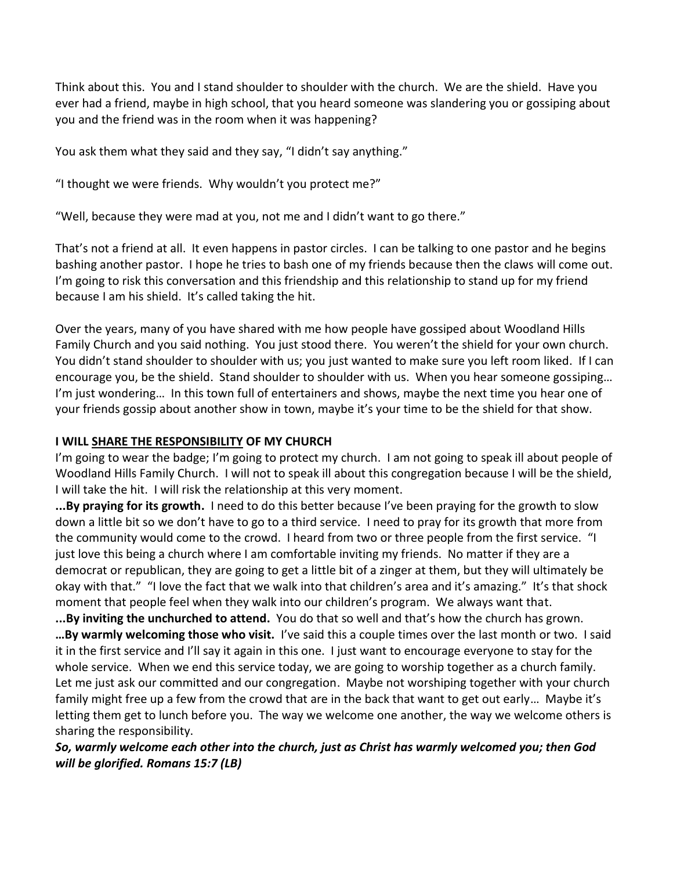Think about this. You and I stand shoulder to shoulder with the church. We are the shield. Have you ever had a friend, maybe in high school, that you heard someone was slandering you or gossiping about you and the friend was in the room when it was happening?

You ask them what they said and they say, "I didn't say anything."

"I thought we were friends. Why wouldn't you protect me?"

"Well, because they were mad at you, not me and I didn't want to go there."

That's not a friend at all. It even happens in pastor circles. I can be talking to one pastor and he begins bashing another pastor. I hope he tries to bash one of my friends because then the claws will come out. I'm going to risk this conversation and this friendship and this relationship to stand up for my friend because I am his shield. It's called taking the hit.

Over the years, many of you have shared with me how people have gossiped about Woodland Hills Family Church and you said nothing. You just stood there. You weren't the shield for your own church. You didn't stand shoulder to shoulder with us; you just wanted to make sure you left room liked. If I can encourage you, be the shield. Stand shoulder to shoulder with us. When you hear someone gossiping… I'm just wondering… In this town full of entertainers and shows, maybe the next time you hear one of your friends gossip about another show in town, maybe it's your time to be the shield for that show.

### **I WILL SHARE THE RESPONSIBILITY OF MY CHURCH**

I'm going to wear the badge; I'm going to protect my church. I am not going to speak ill about people of Woodland Hills Family Church. I will not to speak ill about this congregation because I will be the shield, I will take the hit. I will risk the relationship at this very moment.

**...By praying for its growth.** I need to do this better because I've been praying for the growth to slow down a little bit so we don't have to go to a third service. I need to pray for its growth that more from the community would come to the crowd. I heard from two or three people from the first service. "I just love this being a church where I am comfortable inviting my friends. No matter if they are a democrat or republican, they are going to get a little bit of a zinger at them, but they will ultimately be okay with that." "I love the fact that we walk into that children's area and it's amazing." It's that shock moment that people feel when they walk into our children's program. We always want that.

**...By inviting the unchurched to attend.** You do that so well and that's how the church has grown. **…By warmly welcoming those who visit.** I've said this a couple times over the last month or two. I said it in the first service and I'll say it again in this one. I just want to encourage everyone to stay for the whole service. When we end this service today, we are going to worship together as a church family. Let me just ask our committed and our congregation. Maybe not worshiping together with your church family might free up a few from the crowd that are in the back that want to get out early… Maybe it's letting them get to lunch before you. The way we welcome one another, the way we welcome others is sharing the responsibility.

# *So, warmly welcome each other into the church, just as Christ has warmly welcomed you; then God will be glorified. Romans 15:7 (LB)*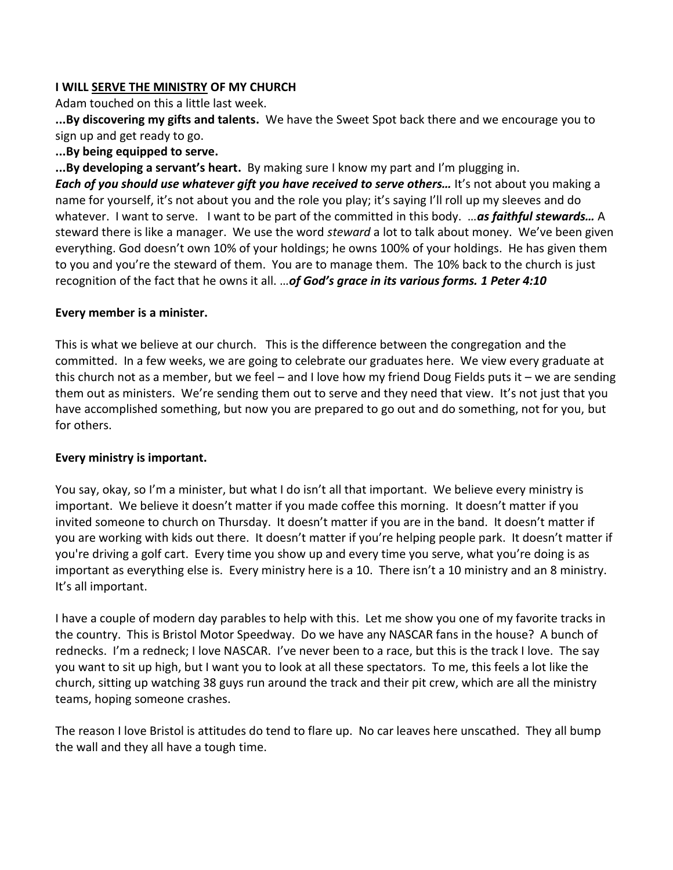### **I WILL SERVE THE MINISTRY OF MY CHURCH**

Adam touched on this a little last week.

**...By discovering my gifts and talents.** We have the Sweet Spot back there and we encourage you to sign up and get ready to go.

### **...By being equipped to serve.**

**...By developing a servant's heart.** By making sure I know my part and I'm plugging in. *Each of you should use whatever gift you have received to serve others...* **It's not about you making a** name for yourself, it's not about you and the role you play; it's saying I'll roll up my sleeves and do whatever. I want to serve. I want to be part of the committed in this body. …*as faithful stewards…* A steward there is like a manager. We use the word *steward* a lot to talk about money. We've been given

everything. God doesn't own 10% of your holdings; he owns 100% of your holdings. He has given them to you and you're the steward of them. You are to manage them. The 10% back to the church is just recognition of the fact that he owns it all. …*of God's grace in its various forms. 1 Peter 4:10*

#### **Every member is a minister.**

This is what we believe at our church. This is the difference between the congregation and the committed. In a few weeks, we are going to celebrate our graduates here. We view every graduate at this church not as a member, but we feel – and I love how my friend Doug Fields puts it – we are sending them out as ministers. We're sending them out to serve and they need that view. It's not just that you have accomplished something, but now you are prepared to go out and do something, not for you, but for others.

## **Every ministry is important.**

You say, okay, so I'm a minister, but what I do isn't all that important. We believe every ministry is important. We believe it doesn't matter if you made coffee this morning. It doesn't matter if you invited someone to church on Thursday. It doesn't matter if you are in the band. It doesn't matter if you are working with kids out there. It doesn't matter if you're helping people park. It doesn't matter if you're driving a golf cart. Every time you show up and every time you serve, what you're doing is as important as everything else is. Every ministry here is a 10. There isn't a 10 ministry and an 8 ministry. It's all important.

I have a couple of modern day parables to help with this. Let me show you one of my favorite tracks in the country. This is Bristol Motor Speedway. Do we have any NASCAR fans in the house? A bunch of rednecks. I'm a redneck; I love NASCAR. I've never been to a race, but this is the track I love. The say you want to sit up high, but I want you to look at all these spectators. To me, this feels a lot like the church, sitting up watching 38 guys run around the track and their pit crew, which are all the ministry teams, hoping someone crashes.

The reason I love Bristol is attitudes do tend to flare up. No car leaves here unscathed. They all bump the wall and they all have a tough time.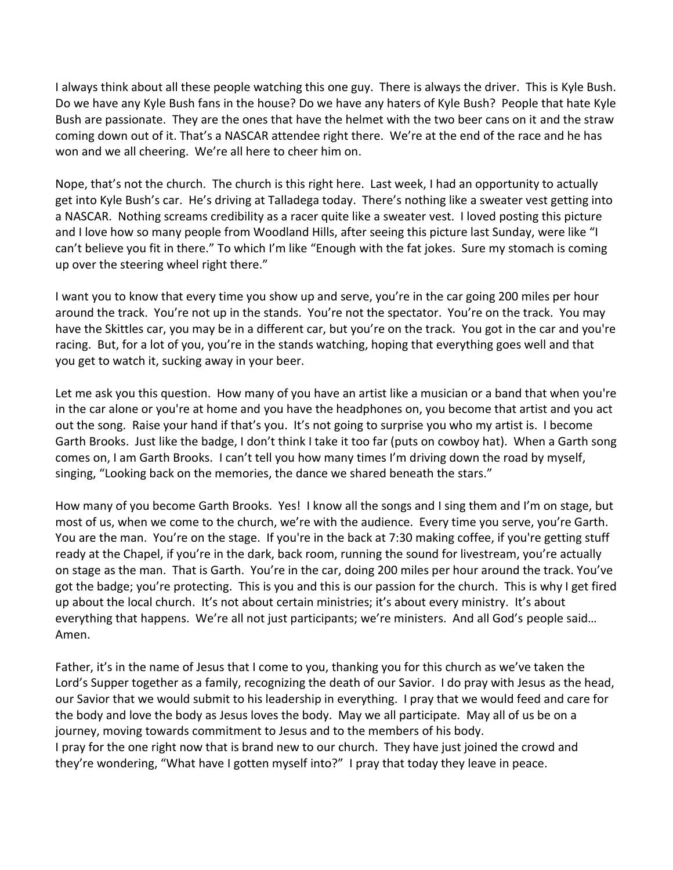I always think about all these people watching this one guy. There is always the driver. This is Kyle Bush. Do we have any Kyle Bush fans in the house? Do we have any haters of Kyle Bush? People that hate Kyle Bush are passionate. They are the ones that have the helmet with the two beer cans on it and the straw coming down out of it. That's a NASCAR attendee right there. We're at the end of the race and he has won and we all cheering. We're all here to cheer him on.

Nope, that's not the church. The church is this right here. Last week, I had an opportunity to actually get into Kyle Bush's car. He's driving at Talladega today. There's nothing like a sweater vest getting into a NASCAR. Nothing screams credibility as a racer quite like a sweater vest. I loved posting this picture and I love how so many people from Woodland Hills, after seeing this picture last Sunday, were like "I can't believe you fit in there." To which I'm like "Enough with the fat jokes. Sure my stomach is coming up over the steering wheel right there."

I want you to know that every time you show up and serve, you're in the car going 200 miles per hour around the track. You're not up in the stands. You're not the spectator. You're on the track. You may have the Skittles car, you may be in a different car, but you're on the track. You got in the car and you're racing. But, for a lot of you, you're in the stands watching, hoping that everything goes well and that you get to watch it, sucking away in your beer.

Let me ask you this question. How many of you have an artist like a musician or a band that when you're in the car alone or you're at home and you have the headphones on, you become that artist and you act out the song. Raise your hand if that's you. It's not going to surprise you who my artist is. I become Garth Brooks. Just like the badge, I don't think I take it too far (puts on cowboy hat). When a Garth song comes on, I am Garth Brooks. I can't tell you how many times I'm driving down the road by myself, singing, "Looking back on the memories, the dance we shared beneath the stars."

How many of you become Garth Brooks. Yes! I know all the songs and I sing them and I'm on stage, but most of us, when we come to the church, we're with the audience. Every time you serve, you're Garth. You are the man. You're on the stage. If you're in the back at 7:30 making coffee, if you're getting stuff ready at the Chapel, if you're in the dark, back room, running the sound for livestream, you're actually on stage as the man. That is Garth. You're in the car, doing 200 miles per hour around the track. You've got the badge; you're protecting. This is you and this is our passion for the church. This is why I get fired up about the local church. It's not about certain ministries; it's about every ministry. It's about everything that happens. We're all not just participants; we're ministers. And all God's people said… Amen.

Father, it's in the name of Jesus that I come to you, thanking you for this church as we've taken the Lord's Supper together as a family, recognizing the death of our Savior. I do pray with Jesus as the head, our Savior that we would submit to his leadership in everything. I pray that we would feed and care for the body and love the body as Jesus loves the body. May we all participate. May all of us be on a journey, moving towards commitment to Jesus and to the members of his body. I pray for the one right now that is brand new to our church. They have just joined the crowd and they're wondering, "What have I gotten myself into?" I pray that today they leave in peace.